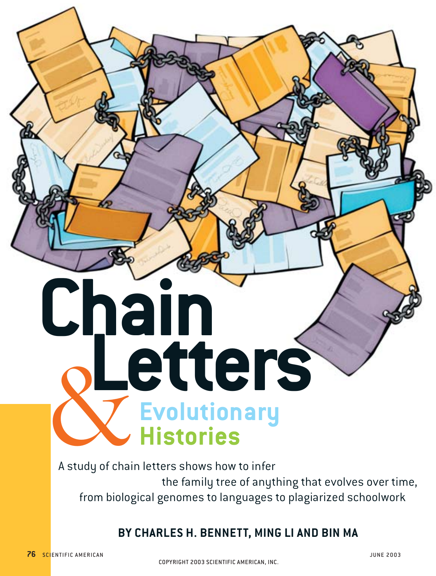# A study of chai **Chain Evolutionary Histories Letters**

A study of chain letters shows how to infer the family tree of anything that evolves over time, from biological genomes to languages to plagiarized schoolwork

#### **BY CHARLES H. BENNETT, MING LI AND BIN MA**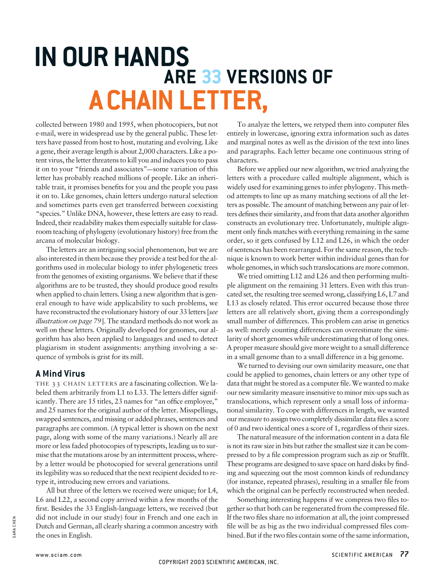## **IN OUR HANDS ARE 33 VERSIONS OF A CHAIN LETTER,**

collected between 1980 and 1995, when photocopiers, but not e-mail, were in widespread use by the general public. These letters have passed from host to host, mutating and evolving. Like a gene, their average length is about 2,000 characters. Like a potent virus, the letter threatens to kill you and induces you to pass it on to your "friends and associates"—some variation of this letter has probably reached millions of people. Like an inheritable trait, it promises benefits for you and the people you pass it on to. Like genomes, chain letters undergo natural selection and sometimes parts even get transferred between coexisting "species." Unlike DNA, however, these letters are easy to read. Indeed, their readability makes them especially suitable for classroom teaching of phylogeny (evolutionary history) free from the arcana of molecular biology.

The letters are an intriguing social phenomenon, but we are also interested in them because they provide a test bed for the algorithms used in molecular biology to infer phylogenetic trees from the genomes of existing organisms. We believe that if these algorithms are to be trusted, they should produce good results when applied to chain letters. Using a new algorithm that is general enough to have wide applicability to such problems, we have reconstructed the evolutionary history of our 33 letters [*see illustration on page 79*]. The standard methods do not work as well on these letters. Originally developed for genomes, our algorithm has also been applied to languages and used to detect plagiarism in student assignments: anything involving a sequence of symbols is grist for its mill.

#### **A Mind Virus**

THE 33 CHAIN LETTERS are a fascinating collection. We labeled them arbitrarily from L1 to L33. The letters differ significantly. There are 15 titles, 23 names for "an office employee," and 25 names for the original author of the letter. Misspellings, swapped sentences, and missing or added phrases, sentences and paragraphs are common. (A typical letter is shown on the next page, along with some of the many variations.) Nearly all are more or less faded photocopies of typescripts, leading us to surmise that the mutations arose by an intermittent process, whereby a letter would be photocopied for several generations until its legibility was so reduced that the next recipient decided to retype it, introducing new errors and variations.

All but three of the letters we received were unique; for L4, L6 and L22, a second copy arrived within a few months of the first. Besides the 33 English-language letters, we received (but did not include in our study) four in French and one each in Dutch and German, all clearly sharing a common ancestry with the ones in English.

To analyze the letters, we retyped them into computer files entirely in lowercase, ignoring extra information such as dates and marginal notes as well as the division of the text into lines and paragraphs. Each letter became one continuous string of characters.

Before we applied our new algorithm, we tried analyzing the letters with a procedure called multiple alignment, which is widely used for examining genes to infer phylogeny. This method attempts to line up as many matching sections of all the letters as possible. The amount of matching between any pair of letters defines their similarity, and from that data another algorithm constructs an evolutionary tree. Unfortunately, multiple alignment only finds matches with everything remaining in the same order, so it gets confused by L12 and L26, in which the order of sentences has been rearranged. For the same reason, the technique is known to work better within individual genes than for whole genomes, in which such translocations are more common.

We tried omitting L12 and L26 and then performing multiple alignment on the remaining 31 letters. Even with this truncated set, the resulting tree seemed wrong, classifying L6, L7 and L13 as closely related. This error occurred because those three letters are all relatively short, giving them a correspondingly small number of differences. This problem can arise in genetics as well: merely counting differences can overestimate the similarity of short genomes while underestimating that of long ones. A proper measure should give more weight to a small difference in a small genome than to a small difference in a big genome.

We turned to devising our own similarity measure, one that could be applied to genomes, chain letters or any other type of data that might be stored as a computer file. We wanted to make our new similarity measure insensitive to minor mix-ups such as translocations, which represent only a small loss of informational similarity. To cope with differences in length, we wanted our measure to assign two completely dissimilar data files a score of 0 and two identical ones a score of 1, regardless of their sizes.

The natural measure of the information content in a data file is not its raw size in bits but rather the smallest size it can be compressed to by a file compression program such as zip or StuffIt. These programs are designed to save space on hard disks by finding and squeezing out the most common kinds of redundancy (for instance, repeated phrases), resulting in a smaller file from which the original can be perfectly reconstructed when needed.

Something interesting happens if we compress two files together so that both can be regenerated from the compressed file. If the two files share no information at all, the joint compressed file will be as big as the two individual compressed files combined. But if the two files contain some of the same information,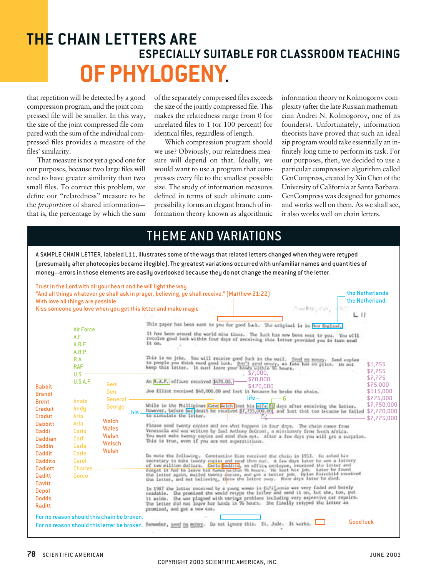## **THE CHAIN LETTERS ARE ESPECIALLY SUITABLE FOR CLASSROOM TEACHING OF PHYLOGENY.**

that repetition will be detected by a good compression program, and the joint compressed file will be smaller. In this way, the size of the joint compressed file compared with the sum of the individual compressed files provides a measure of the files' similarity.

That measure is not yet a good one for our purposes, because two large files will tend to have greater similarity than two small files. To correct this problem, we define our "relatedness" measure to be the *proportion* of shared information that is, the percentage by which the sum of the separately compressed files exceeds the size of the jointly compressed file. This makes the relatedness range from 0 for unrelated files to 1 (or 100 percent) for identical files, regardless of length.

Which compression program should we use? Obviously, our relatedness measure will depend on that. Ideally, we would want to use a program that compresses every file to the smallest possible size. The study of information measures defined in terms of such ultimate compressibility forms an elegant branch of information theory known as algorithmic information theory or Kolmogorov complexity (after the late Russian mathematician Andrei N. Kolmogorov, one of its founders). Unfortunately, information theorists have proved that such an ideal zip program would take essentially an infinitely long time to perform its task. For our purposes, then, we decided to use a particular compression algorithm called GenCompress, created by Xin Chen of the University of California at Santa Barbara. GenCompress was designed for genomes and works well on them. As we shall see, it also works well on chain letters.

#### THEME AND VARIATIONS

A SAMPLE CHAIN LETTER, labeled L11, illustrates some of the ways that related letters changed when they were retyped (presumably after photocopies became illegible). The greatest variations occurred with unfamiliar names and quantities of money—errors in those elements are easily overlooked because they do not change the meaning of the letter.

| Trust in the Lord with all your heart and he will light the way<br>the Netherlands<br>"And all things whatever ye shall ask in prayer, believing, ye shall receive." [Matthew 21:22]<br>the Netherland.<br>With love all things are possible<br>stosekur, etni in<br>Kiss someone you love when you get this letter and make magic<br>w<br>L 11                                                                                                                                                                                                                                                                        |                                                                                                                                                                                                                                                                                                                                                                                                                                                                                                                                                                                                                                                                                                                                                                                                                                                                                                                                                                                                                                                                                                                                                                                                                                                                                                                                                                                                                                                                                                                                                                                                                                                                                                                                                                                                                                                                                                                                                                                                                                                                                                                                                                                                                                                                                                                                   |                                                                                                   |
|------------------------------------------------------------------------------------------------------------------------------------------------------------------------------------------------------------------------------------------------------------------------------------------------------------------------------------------------------------------------------------------------------------------------------------------------------------------------------------------------------------------------------------------------------------------------------------------------------------------------|-----------------------------------------------------------------------------------------------------------------------------------------------------------------------------------------------------------------------------------------------------------------------------------------------------------------------------------------------------------------------------------------------------------------------------------------------------------------------------------------------------------------------------------------------------------------------------------------------------------------------------------------------------------------------------------------------------------------------------------------------------------------------------------------------------------------------------------------------------------------------------------------------------------------------------------------------------------------------------------------------------------------------------------------------------------------------------------------------------------------------------------------------------------------------------------------------------------------------------------------------------------------------------------------------------------------------------------------------------------------------------------------------------------------------------------------------------------------------------------------------------------------------------------------------------------------------------------------------------------------------------------------------------------------------------------------------------------------------------------------------------------------------------------------------------------------------------------------------------------------------------------------------------------------------------------------------------------------------------------------------------------------------------------------------------------------------------------------------------------------------------------------------------------------------------------------------------------------------------------------------------------------------------------------------------------------------------------|---------------------------------------------------------------------------------------------------|
| <b>Air Force</b><br>A.F.<br>A.R.F.<br>A.R.P.<br>R.A.<br><b>RAF</b><br>U.S.<br>U.S.A.F.<br>Gem<br><b>Babbit</b><br>Gen.<br><b>Brandt</b><br>General<br><b>Brent</b><br>Anala<br>George<br>Craduit<br>Andy<br>his -<br>Cradut<br>Aria<br>Walch -<br><b>Dabbitt</b><br>Arla<br>Wales<br><b>Daddi</b><br>Cario<br>Walsh<br><b>Daddian</b><br>Carl<br>Welsch<br><b>Daddin</b><br>Carla<br>Welsh<br><b>Daddit</b><br>Carle<br><b>Daddito</b><br>Carol<br><b>Dadiott</b><br><b>Charles</b><br><b>Daditt</b><br>Gorco<br><b>Davitt</b><br><b>Depot</b><br><b>Dodds</b><br>Raditt<br>For no reason should this chain be broken. | This paper has been sent to you for good luck. The original is in hew Dogland.<br>It has been around the world nine tines. The luck has now been neet to you. You will<br>receive good luck within four days of receiving this letter provided you in turn send<br>it on.<br>This is no jobs. You will receive good Juck in the mail. Send an accesy. Send copies<br>to people you think need good luck. Don't need money, as fate has no ryice. Do not<br>keep this letter. It must leave your hunds within % hours.<br>\$7,000,<br>\$70,000.<br>An R.A.F. officer received \$470.00.<br>\$470,000<br>Joe Elliot received \$40,000.00 and lest it honauce he broke the chain.<br>life $-$<br>- 6<br>While in the Bhillipines Cane Welch lost his wife 51 days after receiving the letter.<br>Nowever, before her death he received (17,755,000.00), and lost that too because he failed \$7,770,000<br>to circulate the letter.<br>Please send twenty copies and see what happent in four days. The chain comes from<br>Venezuels and was vritten by Saul Anthony DoGrsot, a missionary from Sauth Africa.<br>You must make twonty copies and sent them ext. After a few days you will get a surprise.<br>This is true, even if you are not superstitious.<br>Do note the following. Constantine Diss received the cluin in 1953. He asked him<br>secretary to make twenty capies and sund then out. A few days later he won a lottery<br>of two million dollars. Carlo Codditt, an effice employee, received the letter and<br>forgot it had to leave his hands within 96 hours. He last his job. Later he found<br>the letter again, mailed twenty equies, and got a better job. Dylan Fnischild escrived<br>the letter, and not believing, there the letter many. Nine days later he died.<br>In 1987 the letter received by a young woman in California was very faded and bornly<br>readable. She promised she would retype the letter and send it on, but she, too, put<br>it aside. She was plagued with various problems including very expensive car repairs.<br>The letter did not leave her hands in % hours. She finally retyped the letter as<br>promised, and got a new car.<br><b>Good luck</b><br>For no reason should this letter be broken. There ber, send no noney. Do not lignore this. St. Jade. It works, | \$1,755<br>\$7,755<br>\$7,775<br>\$75,000<br>\$115,000<br>\$775,000<br>\$7,750,000<br>\$7,775,000 |
|                                                                                                                                                                                                                                                                                                                                                                                                                                                                                                                                                                                                                        |                                                                                                                                                                                                                                                                                                                                                                                                                                                                                                                                                                                                                                                                                                                                                                                                                                                                                                                                                                                                                                                                                                                                                                                                                                                                                                                                                                                                                                                                                                                                                                                                                                                                                                                                                                                                                                                                                                                                                                                                                                                                                                                                                                                                                                                                                                                                   |                                                                                                   |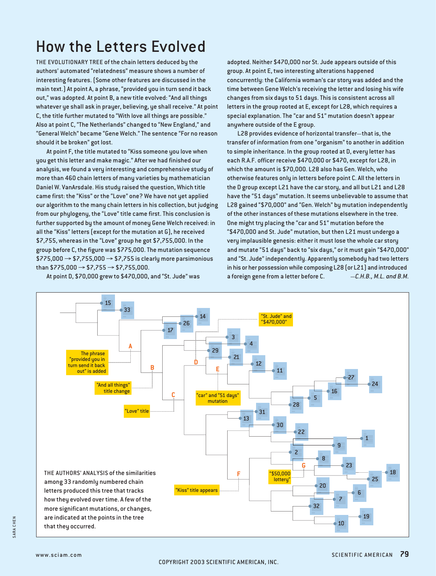## How the Letters Evolved

THE EVOLUTIONARY TREE of the chain letters deduced by the authors' automated "relatedness" measure shows a number of interesting features. (Some other features are discussed in the main text.) At point A, a phrase, "provided you in turn send it back out," was adopted. At point B, a new title evolved: "And all things whatever ye shall ask in prayer, believing, ye shall receive." At point C, the title further mutated to "With love all things are possible." Also at point C, "The Netherlands" changed to "New England," and "General Welch" became "Gene Welch." The sentence "For no reason should it be broken" got lost.

At point F, the title mutated to "Kiss someone you love when you get this letter and make magic." After we had finished our analysis, we found a very interesting and comprehensive study of more than 460 chain letters of many varieties by mathematician Daniel W. VanArsdale. His study raised the question, Which title came first: the "Kiss" or the "Love" one? We have not yet applied our algorithm to the many chain letters in his collection, but judging from our phylogeny, the "Love" title came first. This conclusion is further supported by the amount of money Gene Welch received: in all the "Kiss" letters (except for the mutation at G), he received \$7,755, whereas in the "Love" group he got \$7,755,000. In the group before C, the figure was \$775,000. The mutation sequence  $$775,000 \rightarrow $7,755,000 \rightarrow $7,755$  is clearly more parsimonious than  $$775,000 \rightarrow $7,755 \rightarrow $7,755,000$ .

At point D, \$70,000 grew to \$470,000, and "St. Jude" was

adopted. Neither \$470,000 nor St. Jude appears outside of this group. At point E, two interesting alterations happened concurrently: the California woman's car story was added and the time between Gene Welch's receiving the letter and losing his wife changes from six days to 51 days. This is consistent across all letters in the group rooted at E, except for L28, which requires a special explanation. The "car and 51" mutation doesn't appear anywhere outside of the E group.

L28 provides evidence of horizontal transfer—that is, the transfer of information from one "organism" to another in addition to simple inheritance. In the group rooted at D, every letter has each R.A.F. officer receive \$470,000 or \$470, except for L28, in which the amount is \$70,000. L28 also has Gen. Welch, who otherwise features only in letters before point C. All the letters in the D group except L21 have the car story, and all but L21 and L28 have the "51 days" mutation. It seems unbelievable to assume that L28 gained "\$70,000" and "Gen. Welch" by mutation independently of the other instances of these mutations elsewhere in the tree. One might try placing the "car and 51" mutation before the "\$470,000 and St. Jude" mutation, but then L21 must undergo a very implausible genesis: either it must lose the whole car story and mutate "51 days" back to "six days," or it must gain "\$470,000" and "St. Jude" independently. Apparently somebody had two letters in his or her possession while composing L28 (or L21) and introduced a foreign gene from a letter before C. —*C.H.B., M.L. and B.M.*

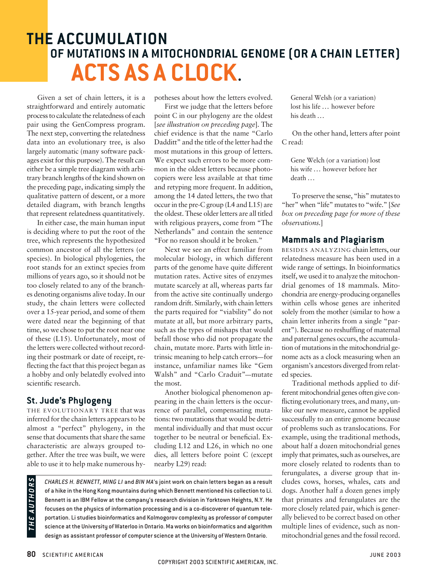## **THE ACCUMULATION OF MUTATIONS IN A MITOCHONDRIAL GENOME (OR A CHAIN LETTER) ACTS AS A CLOCK.**

Given a set of chain letters, it is a straightforward and entirely automatic process to calculate the relatedness of each pair using the GenCompress program. The next step, converting the relatedness data into an evolutionary tree, is also largely automatic (many software packages exist for this purpose). The result can either be a simple tree diagram with arbitrary branch lengths of the kind shown on the preceding page, indicating simply the qualitative pattern of descent, or a more detailed diagram, with branch lengths that represent relatedness quantitatively.

In either case, the main human input is deciding where to put the root of the tree, which represents the hypothesized common ancestor of all the letters (or species). In biological phylogenies, the root stands for an extinct species from millions of years ago, so it should not be too closely related to any of the branches denoting organisms alive today. In our study, the chain letters were collected over a 15-year period, and some of them were dated near the beginning of that time, so we chose to put the root near one of these (L15). Unfortunately, most of the letters were collected without recording their postmark or date of receipt, reflecting the fact that this project began as a hobby and only belatedly evolved into scientific research.

#### **St. Jude's Phylogeny**

THE EVOLUTIONARY TREE that was inferred for the chain letters appears to be almost a "perfect" phylogeny, in the sense that documents that share the same characteristic are always grouped together. After the tree was built, we were able to use it to help make numerous hypotheses about how the letters evolved.

First we judge that the letters before point C in our phylogeny are the oldest [*see illustration on preceding page*]. The chief evidence is that the name "Carlo Dadditt" and the title of the letter had the most mutations in this group of letters. We expect such errors to be more common in the oldest letters because photocopiers were less available at that time and retyping more frequent. In addition, among the 14 dated letters, the two that occur in the pre-C group (L4 and L15) are the oldest. These older letters are all titled with religious prayers, come from "The Netherlands" and contain the sentence "For no reason should it be broken."

Next we see an effect familiar from molecular biology, in which different parts of the genome have quite different mutation rates. Active sites of enzymes mutate scarcely at all, whereas parts far from the active site continually undergo random drift. Similarly, with chain letters the parts required for "viability" do not mutate at all, but more arbitrary parts, such as the types of mishaps that would befall those who did not propagate the chain, mutate more. Parts with little intrinsic meaning to help catch errors—for instance, unfamiliar names like "Gem Walsh" and "Carlo Craduit"—mutate the most.

Another biological phenomenon appearing in the chain letters is the occurrence of parallel, compensating mutations: two mutations that would be detrimental individually and that must occur together to be neutral or beneficial. Excluding L12 and L26, in which no one dies, all letters before point C (except nearby L29) read:

THE AUTHORS *THE AUTHORS*

*CHARLES H. BENNETT, MING LI* and *BIN MA*'s joint work on chain letters began as a result of a hike in the Hong Kong mountains during which Bennett mentioned his collection to Li. Bennett is an IBM Fellow at the company's research division in Yorktown Heights, N.Y. He focuses on the physics of information processing and is a co-discoverer of quantum teleportation. Li studies bioinformatics and Kolmogorov complexity as professor of computer science at the University of Waterloo in Ontario. Ma works on bioinformatics and algorithm design as assistant professor of computer science at the University of Western Ontario.

General Welsh (or a variation) lost his life ... however before his death ...

On the other hand, letters after point C read:

Gene Welch (or a variation) lost his wife ... however before her death ...

To preserve the sense, "his" mutates to "her" when "life" mutates to "wife." [*See box on preceding page for more of these observations.*]

#### **Mammals and Plagiarism**

BESIDES ANALYZING chain letters, our relatedness measure has been used in a wide range of settings. In bioinformatics itself, we used it to analyze the mitochondrial genomes of 18 mammals. Mitochondria are energy-producing organelles within cells whose genes are inherited solely from the mother (similar to how a chain letter inherits from a single "parent"). Because no reshuffling of maternal and paternal genes occurs, the accumulation of mutations in the mitochondrial genome acts as a clock measuring when an organism's ancestors diverged from related species.

Traditional methods applied to different mitochondrial genes often give conflicting evolutionary trees, and many, unlike our new measure, cannot be applied successfully to an entire genome because of problems such as translocations. For example, using the traditional methods, about half a dozen mitochondrial genes imply that primates, such as ourselves, are more closely related to rodents than to ferungulates, a diverse group that includes cows, horses, whales, cats and dogs. Another half a dozen genes imply that primates and ferungulates are the more closely related pair, which is generally believed to be correct based on other multiple lines of evidence, such as nonmitochondrial genes and the fossil record.